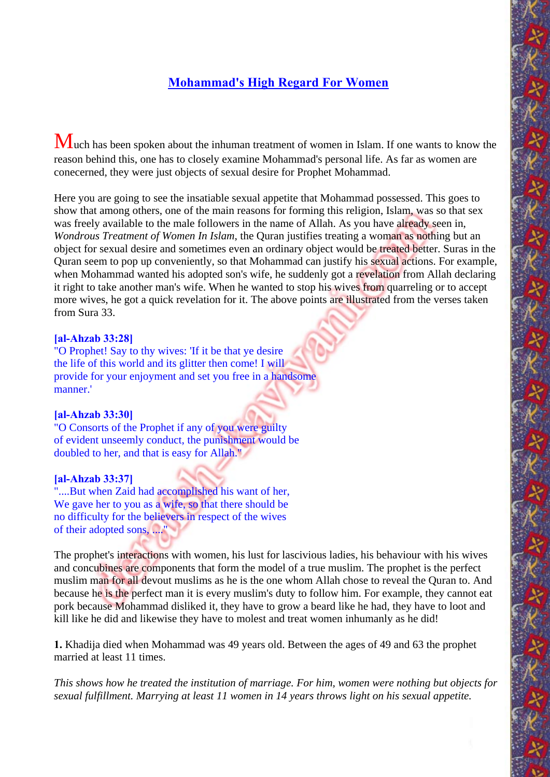# **Mohammad's High Regard For Women**

Much has been spoken about the inhuman treatment of women in Islam. If one wants to know the reason behind this, one has to closely examine Mohammad's personal life. As far as women are conecerned, they were just objects of sexual desire for Prophet Mohammad.

Here you are going to see the insatiable sexual appetite that Mohammad possessed. This goes to show that among others, one of the main reasons for forming this religion, Islam, was so that sex was freely available to the male followers in the name of Allah. As you have already seen in, *Wondrous Treatment of Women In Islam*, the Quran justifies treating a woman as nothing but an object for sexual desire and sometimes even an ordinary object would be treated better. Suras in the Quran seem to pop up conveniently, so that Mohammad can justify his sexual actions. For example, when Mohammad wanted his adopted son's wife, he suddenly got a revelation from Allah declaring it right to take another man's wife. When he wanted to stop his wives from quarreling or to accept more wives, he got a quick revelation for it. The above points are illustrated from the verses taken from Sura 33.

### **[al-Ahzab 33:28]**

"O Prophet! Say to thy wives: 'If it be that ye desire the life of this world and its glitter then come! I will provide for your enjoyment and set you free in a handsome manner.'

### **[al-Ahzab 33:30]**

"O Consorts of the Prophet if any of you were guilty of evident unseemly conduct, the punishment would be doubled to her, and that is easy for Allah."

## **[al-Ahzab 33:37]**

"....But when Zaid had accomplished his want of her. We gave her to you as a wife, so that there should be no difficulty for the believers in respect of the wives of their adopted sons, ...."

The prophet's interactions with women, his lust for lascivious ladies, his behaviour with his wives and concubines are components that form the model of a true muslim. The prophet is the perfect muslim man for all devout muslims as he is the one whom Allah chose to reveal the Quran to. And because he is the perfect man it is every muslim's duty to follow him. For example, they cannot eat pork because Mohammad disliked it, they have to grow a beard like he had, they have to loot and kill like he did and likewise they have to molest and treat women inhumanly as he did!

**1.** Khadija died when Mohammad was 49 years old. Between the ages of 49 and 63 the prophet married at least 11 times.

*This shows how he treated the institution of marriage. For him, women were nothing but objects for sexual fulfillment. Marrying at least 11 women in 14 years throws light on his sexual appetite.*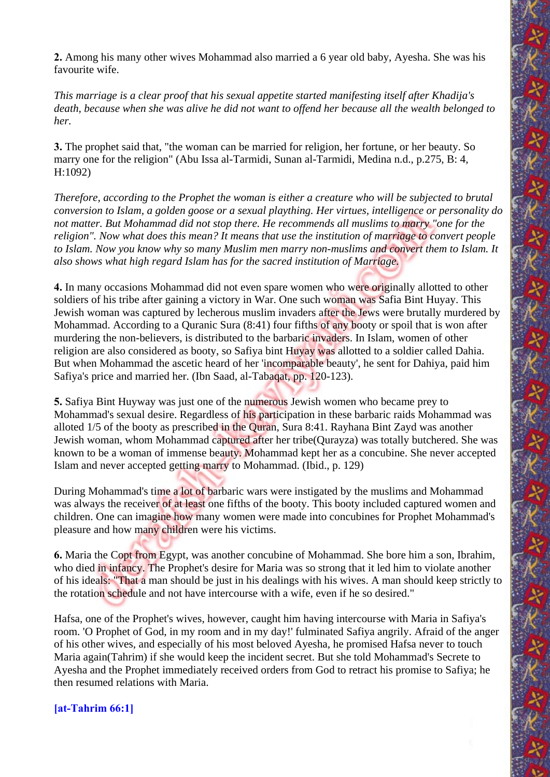**2.** Among his many other wives Mohammad also married a 6 year old baby, Ayesha. She was his favourite wife.

*This marriage is a clear proof that his sexual appetite started manifesting itself after Khadija's death, because when she was alive he did not want to offend her because all the wealth belonged to her.* 

**3.** The prophet said that, "the woman can be married for religion, her fortune, or her beauty. So marry one for the religion" (Abu Issa al-Tarmidi, Sunan al-Tarmidi, Medina n.d., p.275, B: 4, H:1092)

*Therefore, according to the Prophet the woman is either a creature who will be subjected to brutal conversion to Islam, a golden goose or a sexual plaything. Her virtues, intelligence or personality do not matter. But Mohammad did not stop there. He recommends all muslims to marry "one for the religion". Now what does this mean? It means that use the institution of marriage to convert people to Islam. Now you know why so many Muslim men marry non-muslims and convert them to Islam. It also shows what high regard Islam has for the sacred institution of Marriage.*

**4.** In many occasions Mohammad did not even spare women who were originally allotted to other soldiers of his tribe after gaining a victory in War. One such woman was Safia Bint Huyay. This Jewish woman was captured by lecherous muslim invaders after the Jews were brutally murdered by Mohammad. According to a Quranic Sura (8:41) four fifths of any booty or spoil that is won after murdering the non-believers, is distributed to the barbaric invaders. In Islam, women of other religion are also considered as booty, so Safiya bint Huyay was allotted to a soldier called Dahia. But when Mohammad the ascetic heard of her 'incomparable beauty', he sent for Dahiya, paid him Safiya's price and married her. (Ibn Saad, al-Tabaqat, pp. 120-123).

**5.** Safiya Bint Huyway was just one of the numerous Jewish women who became prey to Mohammad's sexual desire. Regardless of his participation in these barbaric raids Mohammad was alloted 1/5 of the booty as prescribed in the Quran, Sura 8:41. Rayhana Bint Zayd was another Jewish woman, whom Mohammad captured after her tribe(Qurayza) was totally butchered. She was known to be a woman of immense beauty. Mohammad kept her as a concubine. She never accepted Islam and never accepted getting marry to Mohammad. (Ibid., p. 129)

During Mohammad's time a lot of barbaric wars were instigated by the muslims and Mohammad was always the receiver of at least one fifths of the booty. This booty included captured women and children. One can imagine how many women were made into concubines for Prophet Mohammad's pleasure and how many children were his victims.

**6.** Maria the Copt from Egypt, was another concubine of Mohammad. She bore him a son, Ibrahim, who died in infancy. The Prophet's desire for Maria was so strong that it led him to violate another of his ideals: "That a man should be just in his dealings with his wives. A man should keep strictly to the rotation schedule and not have intercourse with a wife, even if he so desired."

Hafsa, one of the Prophet's wives, however, caught him having intercourse with Maria in Safiya's room. 'O Prophet of God, in my room and in my day!' fulminated Safiya angrily. Afraid of the anger of his other wives, and especially of his most beloved Ayesha, he promised Hafsa never to touch Maria again(Tahrim) if she would keep the incident secret. But she told Mohammad's Secrete to Ayesha and the Prophet immediately received orders from God to retract his promise to Safiya; he then resumed relations with Maria.

**[at-Tahrim 66:1]**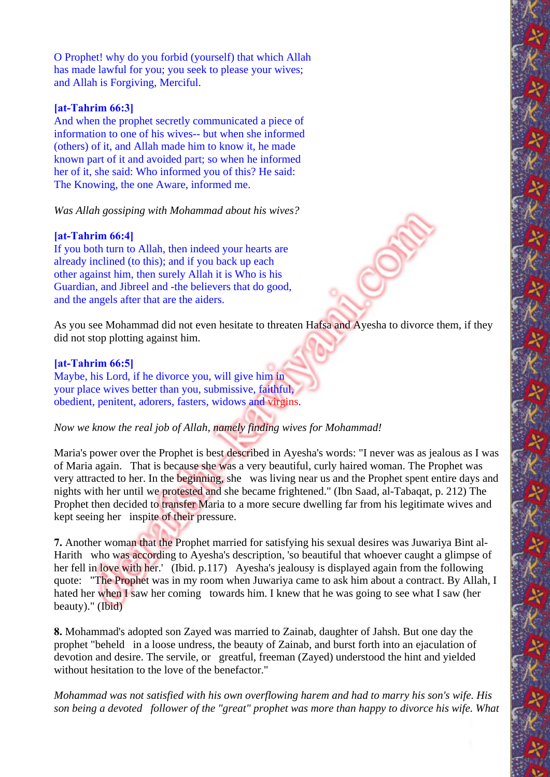O Prophet! why do you forbid (yourself) that which Allah has made lawful for you; you seek to please your wives; and Allah is Forgiving, Merciful.

## **[at-Tahrim 66:3]**

And when the prophet secretly communicated a piece of information to one of his wives-- but when she informed (others) of it, and Allah made him to know it, he made known part of it and avoided part; so when he informed her of it, she said: Who informed you of this? He said: The Knowing, the one Aware, informed me.

*Was Allah gossiping with Mohammad about his wives?*

# **[at-Tahrim 66:4]**

If you both turn to Allah, then indeed your hearts are already inclined (to this); and if you back up each other against him, then surely Allah it is Who is his Guardian, and Jibreel and -the believers that do good, and the angels after that are the aiders.

As you see Mohammad did not even hesitate to threaten Hafsa and Ayesha to divorce them, if they did not stop plotting against him.

## **[at-Tahrim 66:5]**

Maybe, his Lord, if he divorce you, will give him in your place wives better than you, submissive, faithful, obedient, penitent, adorers, fasters, widows and virgins.

# *Now we know the real job of Allah, namely finding wives for Mohammad!*

Maria's power over the Prophet is best described in Ayesha's words: "I never was as jealous as I was of Maria again. That is because she was a very beautiful, curly haired woman. The Prophet was very attracted to her. In the beginning, she was living near us and the Prophet spent entire days and nights with her until we protested and she became frightened." (Ibn Saad, al-Tabaqat, p. 212) The Prophet then decided to transfer Maria to a more secure dwelling far from his legitimate wives and kept seeing her inspite of their pressure.

**7.** Another woman that the Prophet married for satisfying his sexual desires was Juwariya Bint al-Harith who was according to Ayesha's description, 'so beautiful that whoever caught a glimpse of her fell in love with her.' (Ibid. p.117) Ayesha's jealousy is displayed again from the following quote: "The Prophet was in my room when Juwariya came to ask him about a contract. By Allah, I hated her when I saw her coming towards him. I knew that he was going to see what I saw (her beauty)." (Ibid)

**8.** Mohammad's adopted son Zayed was married to Zainab, daughter of Jahsh. But one day the prophet "beheld in a loose undress, the beauty of Zainab, and burst forth into an ejaculation of devotion and desire. The servile, or greatful, freeman (Zayed) understood the hint and yielded without hesitation to the love of the benefactor."

*Mohammad was not satisfied with his own overflowing harem and had to marry his son's wife. His son being a devoted follower of the "great" prophet was more than happy to divorce his wife. What*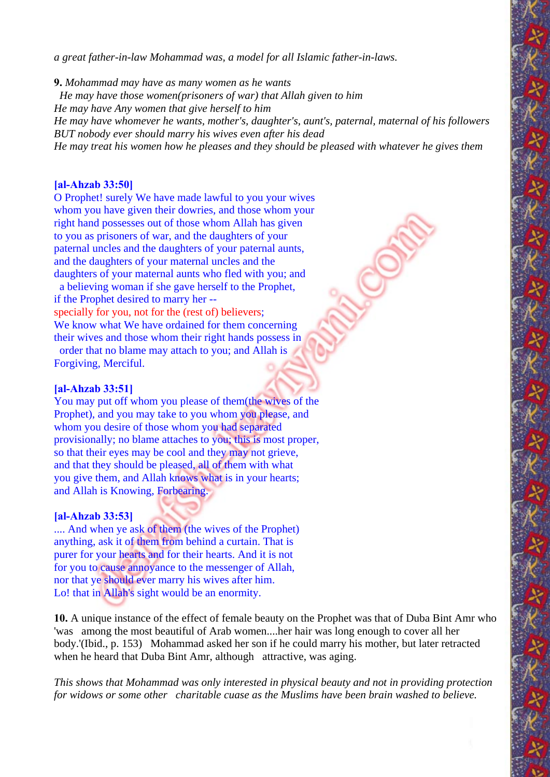*a great father-in-law Mohammad was, a model for all Islamic father-in-laws.*

**9.** *Mohammad may have as many women as he wants He may have those women(prisoners of war) that Allah given to him He may have Any women that give herself to him He may have whomever he wants, mother's, daughter's, aunt's, paternal, maternal of his followers BUT nobody ever should marry his wives even after his dead He may treat his women how he pleases and they should be pleased with whatever he gives them* 

#### **[al-Ahzab 33:50]**

O Prophet! surely We have made lawful to you your wives whom you have given their dowries, and those whom your right hand possesses out of those whom Allah has given to you as prisoners of war, and the daughters of your paternal uncles and the daughters of your paternal aunts, and the daughters of your maternal uncles and the daughters of your maternal aunts who fled with you; and a believing woman if she gave herself to the Prophet,

if the Prophet desired to marry her - specially for you, not for the (rest of) believers;

We know what We have ordained for them concerning their wives and those whom their right hands possess in order that no blame may attach to you; and Allah is Forgiving, Merciful.

#### **[al-Ahzab 33:51]**

You may put off whom you please of them(the wives of the Prophet), and you may take to you whom you please, and whom you desire of those whom you had separated provisionally; no blame attaches to you; this is most proper, so that their eyes may be cool and they may not grieve, and that they should be pleased, all of them with what you give them, and Allah knows what is in your hearts; and Allah is Knowing, Forbearing.

#### **[al-Ahzab 33:53]**

.... And when ye ask of them (the wives of the Prophet) anything, ask it of them from behind a curtain. That is purer for your hearts and for their hearts. And it is not for you to cause annoyance to the messenger of Allah, nor that ye should ever marry his wives after him. Lo! that in Allah's sight would be an enormity.

**10.** A unique instance of the effect of female beauty on the Prophet was that of Duba Bint Amr who 'was among the most beautiful of Arab women....her hair was long enough to cover all her body.'(Ibid., p. 153) Mohammad asked her son if he could marry his mother, but later retracted when he heard that Duba Bint Amr, although attractive, was aging.

*This shows that Mohammad was only interested in physical beauty and not in providing protection for widows or some other charitable cuase as the Muslims have been brain washed to believe.*